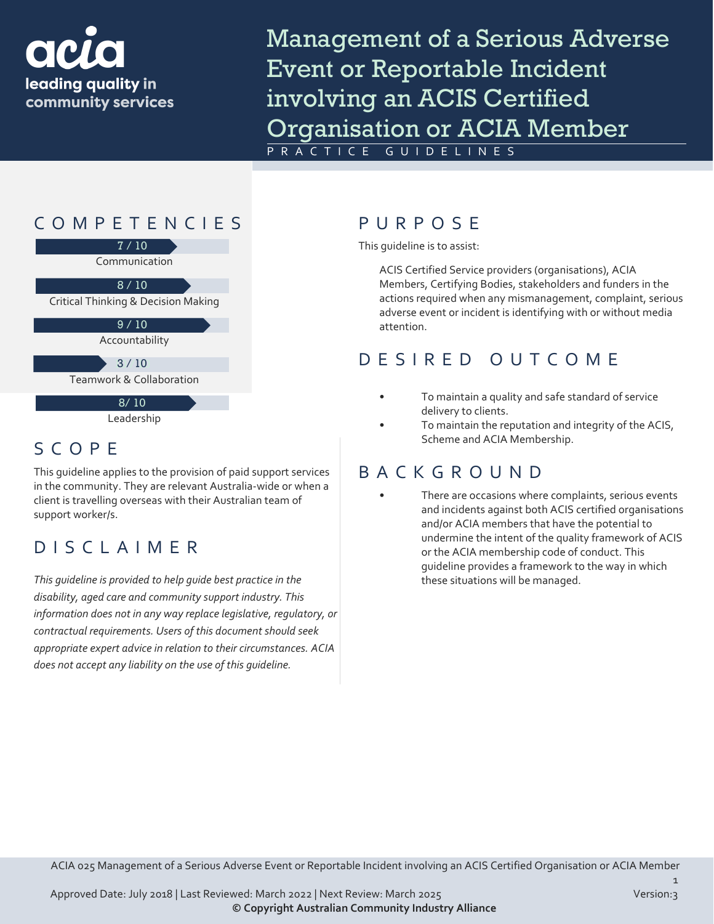

Management of a Serious Adverse Event or Reportable Incident involving an ACIS Certified Organisation or ACIA Member

PRACTICE GUIDELINES



## SCOPE

This guideline applies to the provision of paid support services in the community. They are relevant Australia-wide or when a client is travelling overseas with their Australian team of support worker/s.

## DISCLAIMER

*This guideline is provided to help guide best practice in the disability, aged care and community support industry. This information does not in any way replace legislative, regulatory, or contractual requirements. Users of this document should seek appropriate expert advice in relation to their circumstances. ACIA does not accept any liability on the use of this guideline.*

This guideline is to assist:

ACIS Certified Service providers (organisations), ACIA Members, Certifying Bodies, stakeholders and funders in the actions required when any mismanagement, complaint, serious adverse event or incident is identifying with or without media attention.

#### DESIRED OUTCOME

- To maintain a quality and safe standard of service delivery to clients.
- To maintain the reputation and integrity of the ACIS, Scheme and ACIA Membership.

#### BACKGROUND

There are occasions where complaints, serious events and incidents against both ACIS certified organisations and/or ACIA members that have the potential to undermine the intent of the quality framework of ACIS or the ACIA membership code of conduct. This guideline provides a framework to the way in which these situations will be managed.

ACIA 025 Management of a Serious Adverse Event or Reportable Incident involving an ACIS Certified Organisation or ACIA Member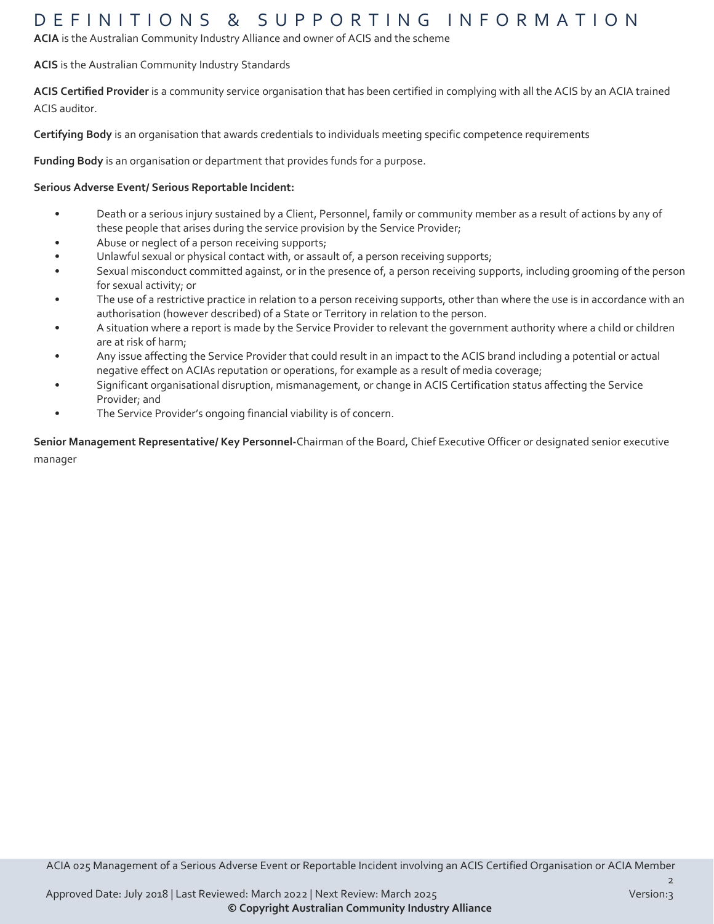#### DEFINITIONS & SUPPORTING INFORMATIO N

**ACIA** is the Australian Community Industry Alliance and owner of ACIS and the scheme

#### **ACIS** is the Australian Community Industry Standards

**ACIS Certified Provider** is a community service organisation that has been certified in complying with all the ACIS by an ACIA trained ACIS auditor.

**Certifying Body** is an organisation that awards credentials to individuals meeting specific competence requirements

**Funding Body** is an organisation or department that provides funds for a purpose.

#### **Serious Adverse Event/ Serious Reportable Incident:**

- Death or a serious injury sustained by a Client, Personnel, family or community member as a result of actions by any of these people that arises during the service provision by the Service Provider;
- Abuse or neglect of a person receiving supports;
- Unlawful sexual or physical contact with, or assault of, a person receiving supports;
- Sexual misconduct committed against, or in the presence of, a person receiving supports, including grooming of the person for sexual activity; or
- The use of a restrictive practice in relation to a person receiving supports, other than where the use is in accordance with an authorisation (however described) of a State or Territory in relation to the person.
- A situation where a report is made by the Service Provider to relevant the government authority where a child or children are at risk of harm;
- Any issue affecting the Service Provider that could result in an impact to the ACIS brand including a potential or actual negative effect on ACIAs reputation or operations, for example as a result of media coverage;
- Significant organisational disruption, mismanagement, or change in ACIS Certification status affecting the Service Provider; and
- The Service Provider's ongoing financial viability is of concern.

**Senior Management Representative/ Key Personnel-**Chairman of the Board, Chief Executive Officer or designated senior executive manager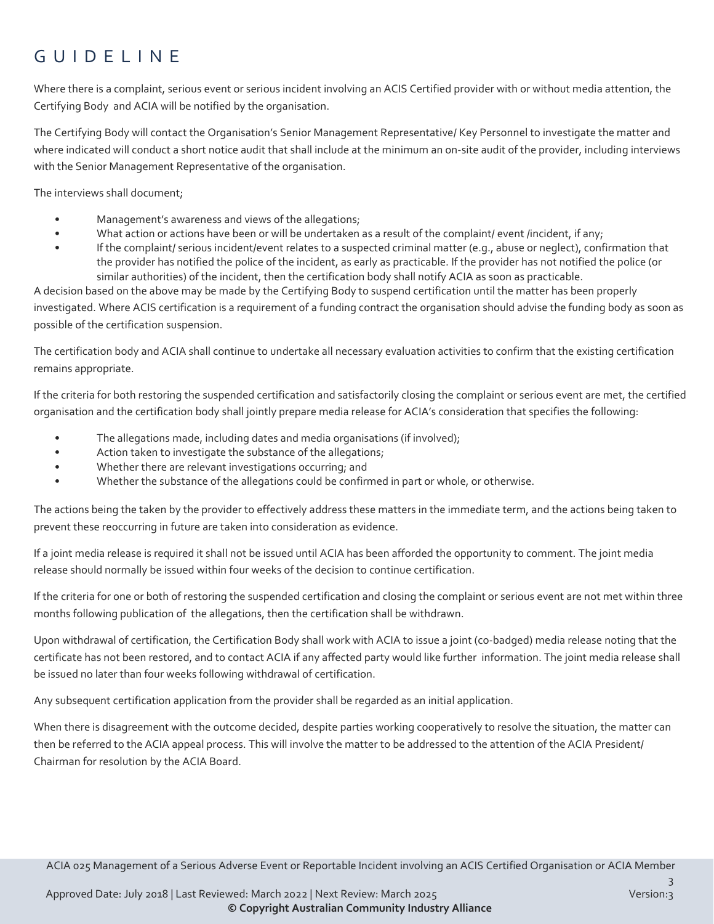# GUIDELINE

Where there is a complaint, serious event or serious incident involving an ACIS Certified provider with or without media attention, the Certifying Body and ACIA will be notified by the organisation.

The Certifying Body will contact the Organisation's Senior Management Representative/ Key Personnel to investigate the matter and where indicated will conduct a short notice audit that shall include at the minimum an on-site audit of the provider, including interviews with the Senior Management Representative of the organisation.

The interviews shall document;

- Management's awareness and views of the allegations;
- What action or actions have been or will be undertaken as a result of the complaint/ event /incident, if any;
- If the complaint/ serious incident/event relates to a suspected criminal matter (e.g., abuse or neglect), confirmation that the provider has notified the police of the incident, as early as practicable. If the provider has not notified the police (or similar authorities) of the incident, then the certification body shall notify ACIA as soon as practicable.

A decision based on the above may be made by the Certifying Body to suspend certification until the matter has been properly investigated. Where ACIS certification is a requirement of a funding contract the organisation should advise the funding body as soon as possible of the certification suspension.

The certification body and ACIA shall continue to undertake all necessary evaluation activities to confirm that the existing certification remains appropriate.

If the criteria for both restoring the suspended certification and satisfactorily closing the complaint or serious event are met, the certified organisation and the certification body shall jointly prepare media release for ACIA's consideration that specifies the following:

- The allegations made, including dates and media organisations (if involved);
- Action taken to investigate the substance of the allegations;
- Whether there are relevant investigations occurring; and
- Whether the substance of the allegations could be confirmed in part or whole, or otherwise.

The actions being the taken by the provider to effectively address these matters in the immediate term, and the actions being taken to prevent these reoccurring in future are taken into consideration as evidence.

If a joint media release is required it shall not be issued until ACIA has been afforded the opportunity to comment. The joint media release should normally be issued within four weeks of the decision to continue certification.

If the criteria for one or both of restoring the suspended certification and closing the complaint or serious event are not met within three months following publication of the allegations, then the certification shall be withdrawn.

Upon withdrawal of certification, the Certification Body shall work with ACIA to issue a joint (co-badged) media release noting that the certificate has not been restored, and to contact ACIA if any affected party would like further information. The joint media release shall be issued no later than four weeks following withdrawal of certification.

Any subsequent certification application from the provider shall be regarded as an initial application.

When there is disagreement with the outcome decided, despite parties working cooperatively to resolve the situation, the matter can then be referred to the ACIA appeal process. This will involve the matter to be addressed to the attention of the ACIA President/ Chairman for resolution by the ACIA Board.

ACIA 025 Management of a Serious Adverse Event or Reportable Incident involving an ACIS Certified Organisation or ACIA Member